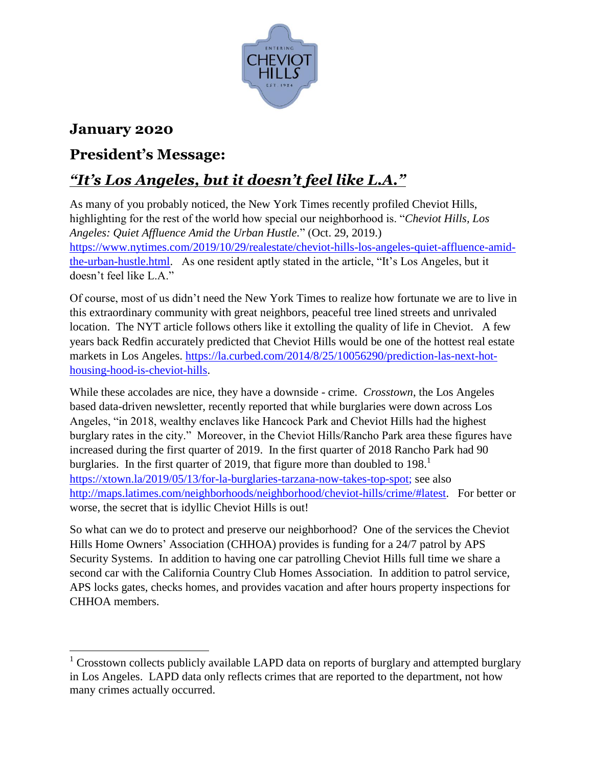

## **January 2020**

## **President's Message:**

## *"It's Los Angeles, but it doesn't feel like L.A."*

As many of you probably noticed, the New York Times recently profiled Cheviot Hills, highlighting for the rest of the world how special our neighborhood is. "*Cheviot Hills, Los Angeles: Quiet Affluence Amid the Urban Hustle.*" (Oct. 29, 2019.) [https://www.nytimes.com/2019/10/29/realestate/cheviot-hills-los-angeles-quiet-affluence-amid](https://www.nytimes.com/2019/10/29/realestate/cheviot-hills-los-angeles-quiet-affluence-amid-the-urban-hustle.html)[the-urban-hustle.html.](https://www.nytimes.com/2019/10/29/realestate/cheviot-hills-los-angeles-quiet-affluence-amid-the-urban-hustle.html) As one resident aptly stated in the article, "It's Los Angeles, but it doesn't feel like L.A."

Of course, most of us didn't need the New York Times to realize how fortunate we are to live in this extraordinary community with great neighbors, peaceful tree lined streets and unrivaled location. The NYT article follows others like it extolling the quality of life in Cheviot. A few years back Redfin accurately predicted that Cheviot Hills would be one of the hottest real estate markets in Los Angeles. [https://la.curbed.com/2014/8/25/10056290/prediction-las-next-hot](https://la.curbed.com/2014/8/25/10056290/prediction-las-next-hot-housing-hood-is-cheviot-hills)[housing-hood-is-cheviot-hills.](https://la.curbed.com/2014/8/25/10056290/prediction-las-next-hot-housing-hood-is-cheviot-hills)

While these accolades are nice, they have a downside - crime. *Crosstown*, the Los Angeles based data-driven newsletter, recently reported that while burglaries were down across Los Angeles, "in 2018, wealthy enclaves like Hancock Park and Cheviot Hills had the highest burglary rates in the city." Moreover, in the Cheviot Hills/Rancho Park area these figures have increased during the first quarter of 2019. In the first quarter of 2018 Rancho Park had 90 burglaries. In the first quarter of 2019, that figure more than doubled to 198. $<sup>1</sup>$ </sup> [https://xtown.la/2019/05/13/for-la-burglaries-tarzana-now-takes-top-spot;](https://xtown.la/2019/05/13/for-la-burglaries-tarzana-now-takes-top-spot) see also [http://maps.latimes.com/neighborhoods/neighborhood/cheviot-hills/crime/#latest.](http://maps.latimes.com/neighborhoods/neighborhood/cheviot-hills/crime/#latest) For better or worse, the secret that is idyllic Cheviot Hills is out!

So what can we do to protect and preserve our neighborhood? One of the services the Cheviot Hills Home Owners' Association (CHHOA) provides is funding for a 24/7 patrol by APS Security Systems. In addition to having one car patrolling Cheviot Hills full time we share a second car with the California Country Club Homes Association. In addition to patrol service, APS locks gates, checks homes, and provides vacation and after hours property inspections for CHHOA members.

 $\overline{a}$ <sup>1</sup> Crosstown collects publicly available LAPD data on reports of burglary and attempted burglary in Los Angeles. LAPD data only reflects crimes that are reported to the department, not how many crimes actually occurred.